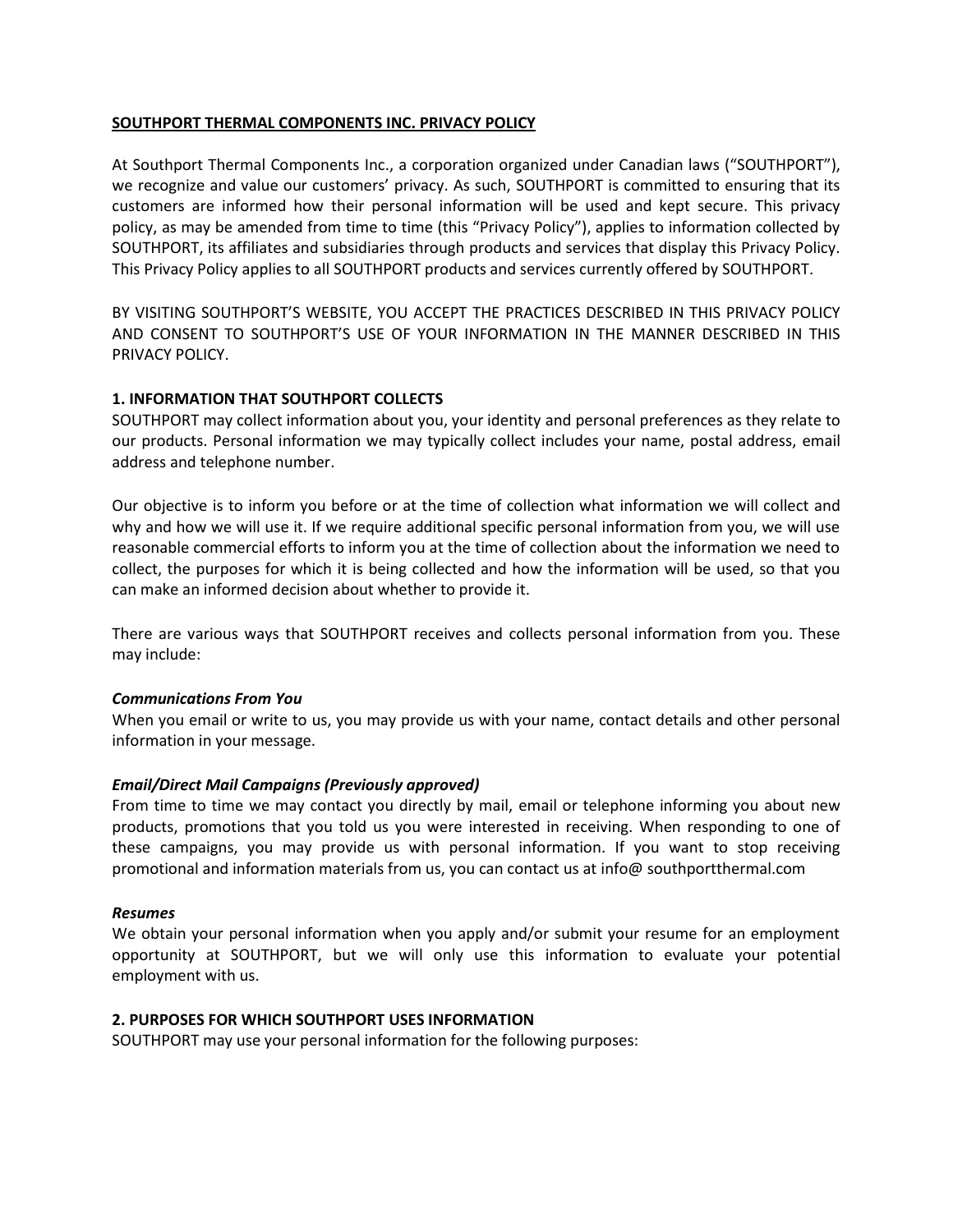## **SOUTHPORT THERMAL COMPONENTS INC. PRIVACY POLICY**

At Southport Thermal Components Inc., a corporation organized under Canadian laws ("SOUTHPORT"), we recognize and value our customers' privacy. As such, SOUTHPORT is committed to ensuring that its customers are informed how their personal information will be used and kept secure. This privacy policy, as may be amended from time to time (this "Privacy Policy"), applies to information collected by SOUTHPORT, its affiliates and subsidiaries through products and services that display this Privacy Policy. This Privacy Policy applies to all SOUTHPORT products and services currently offered by SOUTHPORT.

BY VISITING SOUTHPORT'S WEBSITE, YOU ACCEPT THE PRACTICES DESCRIBED IN THIS PRIVACY POLICY AND CONSENT TO SOUTHPORT'S USE OF YOUR INFORMATION IN THE MANNER DESCRIBED IN THIS PRIVACY POLICY.

## **1. INFORMATION THAT SOUTHPORT COLLECTS**

SOUTHPORT may collect information about you, your identity and personal preferences as they relate to our products. Personal information we may typically collect includes your name, postal address, email address and telephone number.

Our objective is to inform you before or at the time of collection what information we will collect and why and how we will use it. If we require additional specific personal information from you, we will use reasonable commercial efforts to inform you at the time of collection about the information we need to collect, the purposes for which it is being collected and how the information will be used, so that you can make an informed decision about whether to provide it.

There are various ways that SOUTHPORT receives and collects personal information from you. These may include:

#### *Communications From You*

When you email or write to us, you may provide us with your name, contact details and other personal information in your message.

#### *Email/Direct Mail Campaigns (Previously approved)*

From time to time we may contact you directly by mail, email or telephone informing you about new products, promotions that you told us you were interested in receiving. When responding to one of these campaigns, you may provide us with personal information. If you want to stop receiving promotional and information materials from us, you can contact us at info@ southportthermal.com

#### *Resumes*

We obtain your personal information when you apply and/or submit your resume for an employment opportunity at SOUTHPORT, but we will only use this information to evaluate your potential employment with us.

### **2. PURPOSES FOR WHICH SOUTHPORT USES INFORMATION**

SOUTHPORT may use your personal information for the following purposes: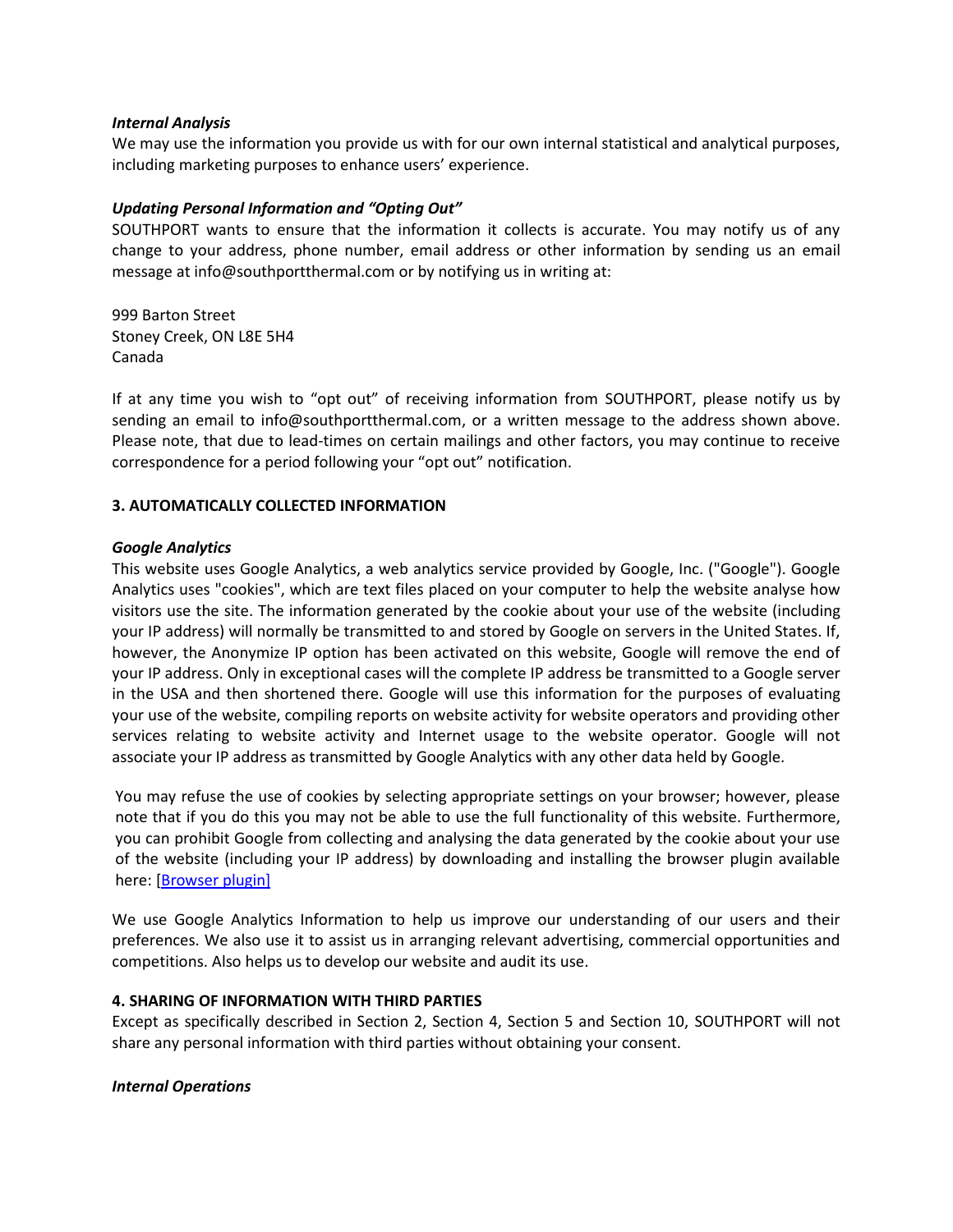#### *Internal Analysis*

We may use the information you provide us with for our own internal statistical and analytical purposes, including marketing purposes to enhance users' experience.

## *Updating Personal Information and "Opting Out"*

SOUTHPORT wants to ensure that the information it collects is accurate. You may notify us of any change to your address, phone number, email address or other information by sending us an email message at info@southportthermal.com or by notifying us in writing at:

999 Barton Street Stoney Creek, ON L8E 5H4 Canada

If at any time you wish to "opt out" of receiving information from SOUTHPORT, please notify us by sending an email to info@southportthermal.com, or a written message to the address shown above. Please note, that due to lead-times on certain mailings and other factors, you may continue to receive correspondence for a period following your "opt out" notification.

## **3. AUTOMATICALLY COLLECTED INFORMATION**

## *Google Analytics*

This website uses Google Analytics, a web analytics service provided by Google, Inc. ("Google"). Google Analytics uses "cookies", which are text files placed on your computer to help the website analyse how visitors use the site. The information generated by the cookie about your use of the website (including your IP address) will normally be transmitted to and stored by Google on servers in the United States. If, however, the Anonymize IP option has been activated on this website, Google will remove the end of your IP address. Only in exceptional cases will the complete IP address be transmitted to a Google server in the USA and then shortened there. Google will use this information for the purposes of evaluating your use of the website, compiling reports on website activity for website operators and providing other services relating to website activity and Internet usage to the website operator. Google will not associate your IP address as transmitted by Google Analytics with any other data held by Google.

You may refuse the use of cookies by selecting appropriate settings on your browser; however, please note that if you do this you may not be able to use the full functionality of this website. Furthermore, you can prohibit Google from collecting and analysing the data generated by the cookie about your use of the website (including your IP address) by downloading and installing the browser plugin available here: [\[Browser plugin\]](https://tools.google.com/dlpage/gaoptout?hl=en)

We use Google Analytics Information to help us improve our understanding of our users and their preferences. We also use it to assist us in arranging relevant advertising, commercial opportunities and competitions. Also helps us to develop our website and audit its use.

# **4. SHARING OF INFORMATION WITH THIRD PARTIES**

Except as specifically described in Section 2, Section 4, Section 5 and Section 10, SOUTHPORT will not share any personal information with third parties without obtaining your consent.

## *Internal Operations*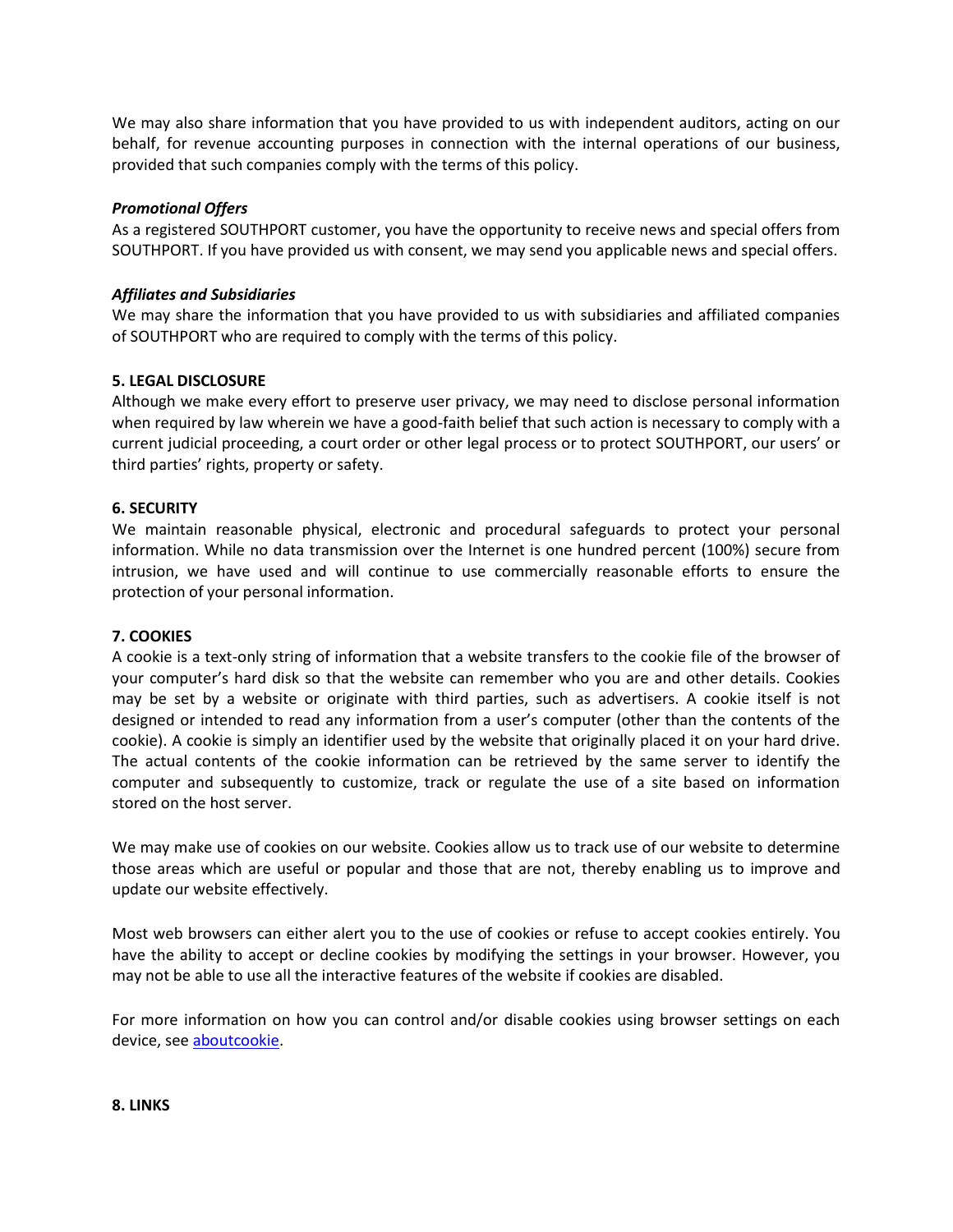We may also share information that you have provided to us with independent auditors, acting on our behalf, for revenue accounting purposes in connection with the internal operations of our business, provided that such companies comply with the terms of this policy.

### *Promotional Offers*

As a registered SOUTHPORT customer, you have the opportunity to receive news and special offers from SOUTHPORT. If you have provided us with consent, we may send you applicable news and special offers.

### *Affiliates and Subsidiaries*

We may share the information that you have provided to us with subsidiaries and affiliated companies of SOUTHPORT who are required to comply with the terms of this policy.

## **5. LEGAL DISCLOSURE**

Although we make every effort to preserve user privacy, we may need to disclose personal information when required by law wherein we have a good-faith belief that such action is necessary to comply with a current judicial proceeding, a court order or other legal process or to protect SOUTHPORT, our users' or third parties' rights, property or safety.

### **6. SECURITY**

We maintain reasonable physical, electronic and procedural safeguards to protect your personal information. While no data transmission over the Internet is one hundred percent (100%) secure from intrusion, we have used and will continue to use commercially reasonable efforts to ensure the protection of your personal information.

#### **7. COOKIES**

A cookie is a text-only string of information that a website transfers to the cookie file of the browser of your computer's hard disk so that the website can remember who you are and other details. Cookies may be set by a website or originate with third parties, such as advertisers. A cookie itself is not designed or intended to read any information from a user's computer (other than the contents of the cookie). A cookie is simply an identifier used by the website that originally placed it on your hard drive. The actual contents of the cookie information can be retrieved by the same server to identify the computer and subsequently to customize, track or regulate the use of a site based on information stored on the host server.

We may make use of cookies on our website. Cookies allow us to track use of our website to determine those areas which are useful or popular and those that are not, thereby enabling us to improve and update our website effectively.

Most web browsers can either alert you to the use of cookies or refuse to accept cookies entirely. You have the ability to accept or decline cookies by modifying the settings in your browser. However, you may not be able to use all the interactive features of the website if cookies are disabled.

For more information on how you can control and/or disable cookies using browser settings on each device, see [aboutcookie.](https://www.aboutcookies.org/)

#### **8. LINKS**